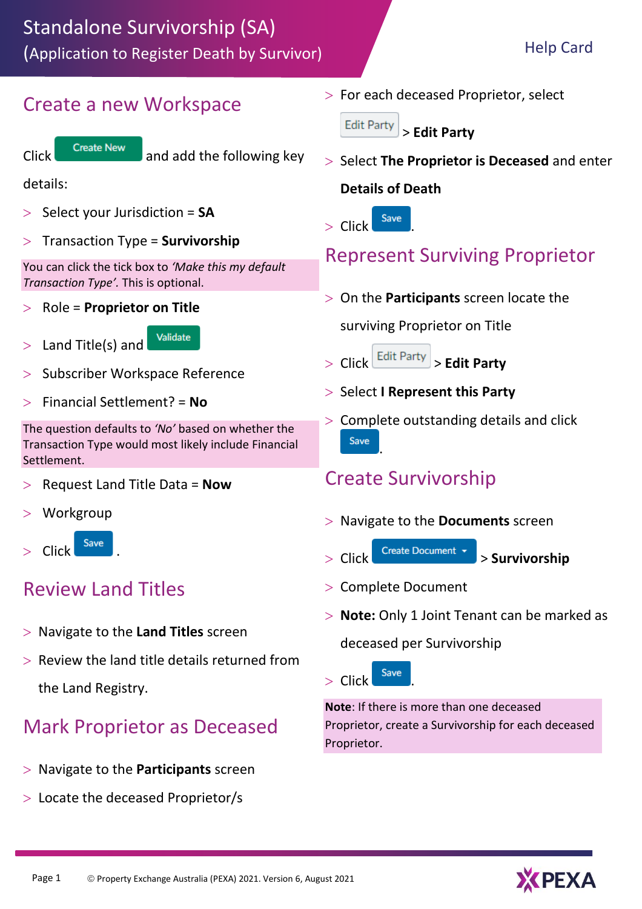#### Create a new Workspace



Click Create New and add the following key

details:

- Select your Jurisdiction = **SA**
- Transaction Type = **Survivorship**

You can click the tick box to *'Make this my default Transaction Type'.* This is optional.

Role = **Proprietor on Title**

Validate  $>$  Land Title(s) and

- Subscriber Workspace Reference
- Financial Settlement? = **No**

The question defaults to *'No'* based on whether the Transaction Type would most likely include Financial Settlement.

- Request Land Title Data = **Now**
- **Workgroup**



### Review Land Titles

- Navigate to the **Land Titles** screen
- $>$  Review the land title details returned from the Land Registry.

### Mark Proprietor as Deceased

- Navigate to the **Participants** screen
- Locate the deceased Proprietor/s

 $>$  For each deceased Proprietor, select

**Edit Party** > **Edit Party** 

 Select **The Proprietor is Deceased** and enter **Details of Death**



## Represent Surviving Proprietor

On the **Participants** screen locate the

surviving Proprietor on Title

Click > **Edit Party** 

- > Select **I Represent this Party**
- $>$  Complete outstanding details and click Save .

### Create Survivorship

- Navigate to the **Documents** screen
- Click > **Survivorship**
- > Complete Document
- **Note:** Only 1 Joint Tenant can be marked as

deceased per Survivorship



**Note**: If there is more than one deceased Proprietor, create a Survivorship for each deceased Proprietor.